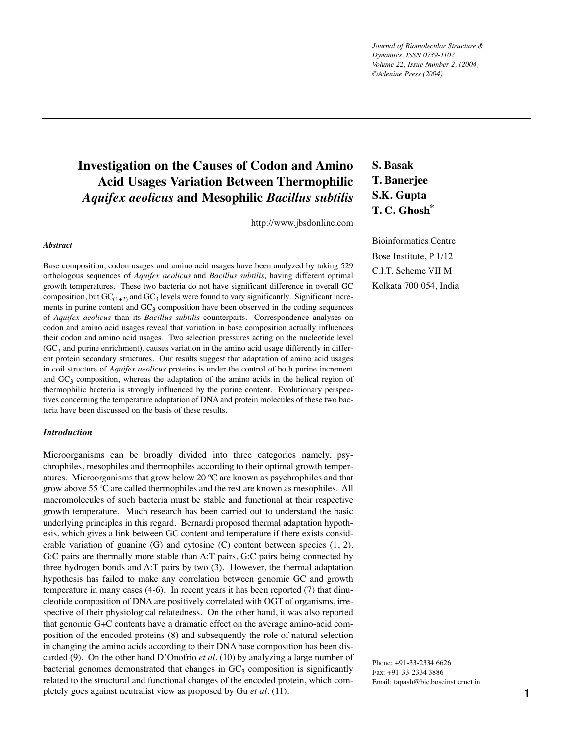*Journal of Biomolecular Structure & Dynamics, ISSN 0739-1102 Volume 22, Issue Number 2, (2004) ©Adenine Press (2004)*

# **Investigation on the Causes of Codon and Amino Acid Usages Variation Between Thermophilic**  *Aquifex aeolicus* **and Mesophilic** *Bacillus subtilis*

http://www.jbsdonline.com

#### *Abstract*

Base composition, codon usages and amino acid usages have been analyzed by taking 529 orthologous sequences of *Aquifex aeolicus* and *Bacillus subtilis,* having different optimal growth temperatures. These two bacteria do not have significant difference in overall GC composition, but  $GC_{(1+2)}$  and  $GC_3$  levels were found to vary significantly. Significant increments in purine content and  $GC_3$  composition have been observed in the coding sequences of *Aquifex aeolicus* than its *Bacillus subtilis* counterparts. Correspondence analyses on codon and amino acid usages reveal that variation in base composition actually influences their codon and amino acid usages. Two selection pressures acting on the nucleotide level  $(GC<sub>3</sub>$  and purine enrichment), causes variation in the amino acid usage differently in different protein secondary structures. Our results suggest that adaptation of amino acid usages in coil structure of *Aquifex aeolicus* proteins is under the control of both purine increment and  $GC<sub>3</sub>$  composition, whereas the adaptation of the amino acids in the helical region of thermophilic bacteria is strongly influenced by the purine content. Evolutionary perspectives concerning the temperature adaptation of DNA and protein molecules of these two bacteria have been discussed on the basis of these results.

### *Introduction*

Microorganisms can be broadly divided into three categories namely, psychrophiles, mesophiles and thermophiles according to their optimal growth temperatures. Microorganisms that grow below 20 ºC are known as psychrophiles and that grow above 55 ºC are called thermophiles and the rest are known as mesophiles. All macromolecules of such bacteria must be stable and functional at their respective growth temperature. Much research has been carried out to understand the basic underlying principles in this regard. Bernardi proposed thermal adaptation hypothesis, which gives a link between GC content and temperature if there exists considerable variation of guanine (G) and cytosine (C) content between species (1, 2). G:C pairs are thermally more stable than A:T pairs, G:C pairs being connected by three hydrogen bonds and A:T pairs by two (3). However, the thermal adaptation hypothesis has failed to make any correlation between genomic GC and growth temperature in many cases (4-6). In recent years it has been reported (7) that dinucleotide composition of DNA are positively correlated with OGT of organisms, irrespective of their physiological relatedness. On the other hand, it was also reported that genomic G+C contents have a dramatic effect on the average amino-acid composition of the encoded proteins (8) and subsequently the role of natural selection in changing the amino acids according to their DNA base composition has been discarded (9). On the other hand D'Onofrio *et al.* (10) by analyzing a large number of bacterial genomes demonstrated that changes in  $GC_3$  composition is significantly related to the structural and functional changes of the encoded protein, which completely goes against neutralist view as proposed by Gu *et al.* (11).

# **S. Basak T. Banerjee S.K. Gupta T. C. Ghosh\***

Bioinformatics Centre Bose Institute, P 1/12 C.I.T. Scheme VII M Kolkata 700 054, India

Phone: +91-33-2334 6626 Fax: +91-33-2334 3886 Email: tapash@bic.boseinst.ernet.in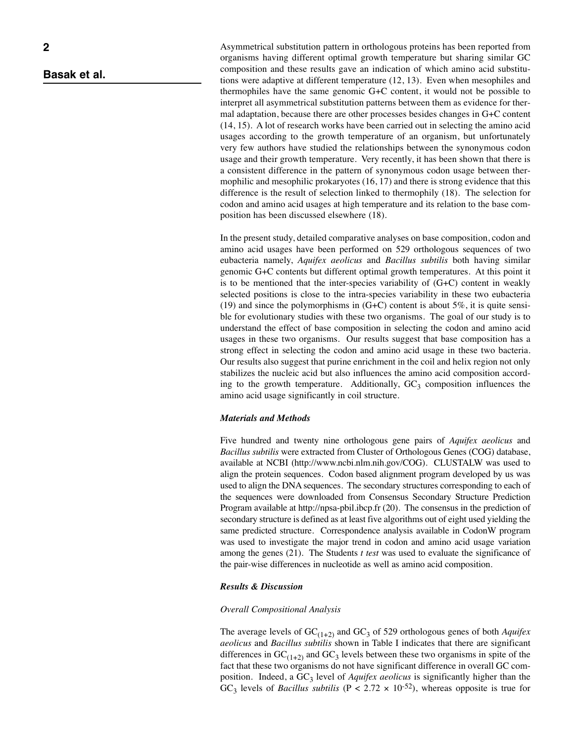Asymmetrical substitution pattern in orthologous proteins has been reported from organisms having different optimal growth temperature but sharing similar GC composition and these results gave an indication of which amino acid substitutions were adaptive at different temperature (12, 13). Even when mesophiles and thermophiles have the same genomic G+C content, it would not be possible to interpret all asymmetrical substitution patterns between them as evidence for thermal adaptation, because there are other processes besides changes in G+C content (14, 15). A lot of research works have been carried out in selecting the amino acid usages according to the growth temperature of an organism, but unfortunately very few authors have studied the relationships between the synonymous codon usage and their growth temperature. Very recently, it has been shown that there is a consistent difference in the pattern of synonymous codon usage between thermophilic and mesophilic prokaryotes (16, 17) and there is strong evidence that this difference is the result of selection linked to thermophily (18). The selection for codon and amino acid usages at high temperature and its relation to the base composition has been discussed elsewhere (18).

In the present study, detailed comparative analyses on base composition, codon and amino acid usages have been performed on 529 orthologous sequences of two eubacteria namely, *Aquifex aeolicus* and *Bacillus subtilis* both having similar genomic G+C contents but different optimal growth temperatures. At this point it is to be mentioned that the inter-species variability of (G+C) content in weakly selected positions is close to the intra-species variability in these two eubacteria (19) and since the polymorphisms in  $(G+C)$  content is about 5%, it is quite sensible for evolutionary studies with these two organisms. The goal of our study is to understand the effect of base composition in selecting the codon and amino acid usages in these two organisms. Our results suggest that base composition has a strong effect in selecting the codon and amino acid usage in these two bacteria. Our results also suggest that purine enrichment in the coil and helix region not only stabilizes the nucleic acid but also influences the amino acid composition according to the growth temperature. Additionally,  $GC_3$  composition influences the amino acid usage significantly in coil structure.

# *Materials and Methods*

Five hundred and twenty nine orthologous gene pairs of *Aquifex aeolicus* and *Bacillus subtilis* were extracted from Cluster of Orthologous Genes (COG) database, available at NCBI (http://www.ncbi.nlm.nih.gov/COG). CLUSTALW was used to align the protein sequences. Codon based alignment program developed by us was used to align the DNA sequences. The secondary structures corresponding to each of the sequences were downloaded from Consensus Secondary Structure Prediction Program available at http://npsa-pbil.ibcp.fr (20). The consensus in the prediction of secondary structure is defined as at least five algorithms out of eight used yielding the same predicted structure. Correspondence analysis available in CodonW program was used to investigate the major trend in codon and amino acid usage variation among the genes (21). The Students *t test* was used to evaluate the significance of the pair-wise differences in nucleotide as well as amino acid composition.

# *Results & Discussion*

### *Overall Compositional Analysis*

The average levels of  $GC_{(1+2)}$  and  $GC_3$  of 529 orthologous genes of both *Aquifex aeolicus* and *Bacillus subtilis* shown in Table I indicates that there are significant differences in  $GC_{(1+2)}$  and  $GC_3$  levels between these two organisms in spite of the fact that these two organisms do not have significant difference in overall GC composition. Indeed, a GC<sub>3</sub> level of *Aquifex aeolicus* is significantly higher than the GC<sub>3</sub> levels of *Bacillus subtilis* ( $P < 2.72 \times 10^{-52}$ ), whereas opposite is true for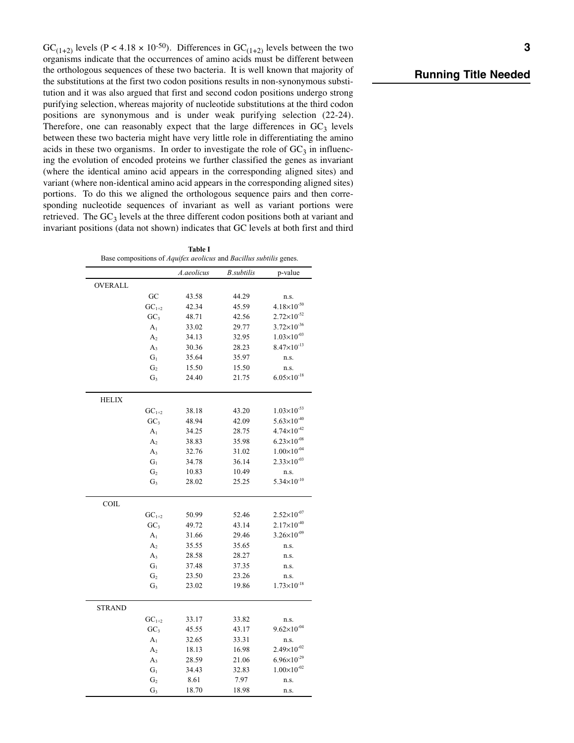GC<sub>(1+2)</sub> levels (P < 4.18 × 10<sup>-50</sup>). Differences in GC<sub>(1+2)</sub> levels between the two organisms indicate that the occurrences of amino acids must be different between the orthologous sequences of these two bacteria. It is well known that majority of the substitutions at the first two codon positions results in non-synonymous substitution and it was also argued that first and second codon positions undergo strong purifying selection, whereas majority of nucleotide substitutions at the third codon positions are synonymous and is under weak purifying selection (22-24). Therefore, one can reasonably expect that the large differences in  $GC<sub>3</sub>$  levels between these two bacteria might have very little role in differentiating the amino acids in these two organisms. In order to investigate the role of  $GC<sub>3</sub>$  in influencing the evolution of encoded proteins we further classified the genes as invariant (where the identical amino acid appears in the corresponding aligned sites) and variant (where non-identical amino acid appears in the corresponding aligned sites) portions. To do this we aligned the orthologous sequence pairs and then corresponding nucleotide sequences of invariant as well as variant portions were retrieved. The  $GC_3$  levels at the three different codon positions both at variant and invariant positions (data not shown) indicates that GC levels at both first and third

**Table I**

| rable 1<br>Base compositions of <i>Aquifex aeolicus</i> and <i>Bacillus subtilis</i> genes. |                 |            |                   |                        |
|---------------------------------------------------------------------------------------------|-----------------|------------|-------------------|------------------------|
|                                                                                             |                 | A.aeolicus | <b>B.subtilis</b> | p-value                |
| OVERALL                                                                                     |                 |            |                   |                        |
|                                                                                             | GC              | 43.58      | 44.29             | n.s.                   |
|                                                                                             | $GC1+2$         | 42.34      | 45.59             | $4.18\times10^{-50}$   |
|                                                                                             | GC <sub>3</sub> | 48.71      | 42.56             | $2.72\times10^{-52}$   |
|                                                                                             | A <sub>1</sub>  | 33.02      | 29.77             | $3.72\times10^{-36}$   |
|                                                                                             | A <sub>2</sub>  | 34.13      | 32.95             | $1.03\times10^{-03}$   |
|                                                                                             | $A_3$           | 30.36      | 28.23             | $8.47\times10^{-13}$   |
|                                                                                             | $G_1$           | 35.64      | 35.97             | n.s.                   |
|                                                                                             | G <sub>2</sub>  | 15.50      | 15.50             | n.s.                   |
|                                                                                             | $G_3$           | 24.40      | 21.75             | $6.05 \times 10^{-18}$ |
|                                                                                             |                 |            |                   |                        |
| <b>HELIX</b>                                                                                |                 |            |                   |                        |
|                                                                                             | $GC1+2$         | 38.18      | 43.20             | $1.03\times10^{-53}$   |
|                                                                                             | GC <sub>3</sub> | 48.94      | 42.09             | $5.63\times10^{-40}$   |
|                                                                                             | A <sub>1</sub>  | 34.25      | 28.75             | $4.74 \times 10^{-42}$ |
|                                                                                             | A <sub>2</sub>  | 38.83      | 35.98             | $6.23\times10^{-08}$   |
|                                                                                             | $A_3$           | 32.76      | 31.02             | $1.00\times10^{-04}$   |
|                                                                                             | $G_1$           | 34.78      | 36.14             | $2.33\times10^{-03}$   |
|                                                                                             | G <sub>2</sub>  | 10.83      | 10.49             | n.s.                   |
|                                                                                             | $G_3$           | 28.02      | 25.25             | $5.34 \times 10^{-10}$ |
|                                                                                             |                 |            |                   |                        |
| COIL                                                                                        | $GC1+2$         | 50.99      | 52.46             | $2.52\times10^{-07}$   |
|                                                                                             | GC <sub>3</sub> | 49.72      | 43.14             | $2.17\times10^{-40}$   |
|                                                                                             | A <sub>1</sub>  | 31.66      | 29.46             | $3.26 \times 10^{-09}$ |
|                                                                                             | A <sub>2</sub>  | 35.55      | 35.65             | n.s.                   |
|                                                                                             | $A_3$           | 28.58      | 28.27             | n.s.                   |
|                                                                                             | $G_1$           | 37.48      | 37.35             | n.s.                   |
|                                                                                             | G <sub>2</sub>  | 23.50      | 23.26             | n.s.                   |
|                                                                                             | $G_3$           | 23.02      | 19.86             | $1.73\times10^{-18}$   |
|                                                                                             |                 |            |                   |                        |
| <b>STRAND</b>                                                                               |                 |            |                   |                        |
|                                                                                             | $GC1+2$         | 33.17      | 33.82             | n.s.                   |
|                                                                                             | GC <sub>3</sub> | 45.55      | 43.17             | $9.62\times10^{-04}$   |
|                                                                                             | A <sub>1</sub>  | 32.65      | 33.31             | n.s.                   |
|                                                                                             | A <sub>2</sub>  | 18.13      | 16.98             | $2.49\times10^{-02}$   |
|                                                                                             | $A_3$           | 28.59      | 21.06             | $6.96\times10^{-29}$   |
|                                                                                             | $G_1$           | 34.43      | 32.83             | $1.00\times10^{-02}$   |
|                                                                                             | G <sub>2</sub>  | 8.61       | 7.97              | n.s.                   |
|                                                                                             | $G_3$           | 18.70      | 18.98             | n.s.                   |

# *Running Title Needed*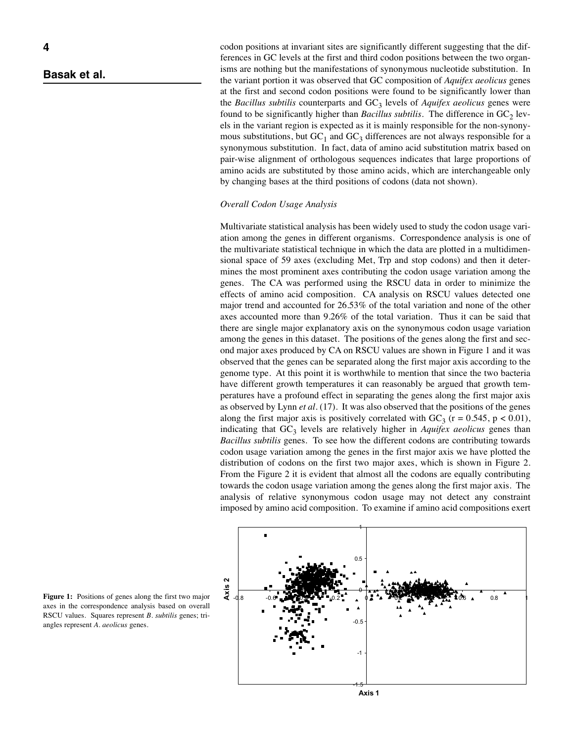codon positions at invariant sites are significantly different suggesting that the differences in GC levels at the first and third codon positions between the two organisms are nothing but the manifestations of synonymous nucleotide substitution. In the variant portion it was observed that GC composition of *Aquifex aeolicus* genes at the first and second codon positions were found to be significantly lower than the *Bacillus subtilis* counterparts and  $GC<sub>3</sub>$  levels of *Aquifex aeolicus* genes were found to be significantly higher than *Bacillus subtilis*. The difference in  $GC<sub>2</sub>$  levels in the variant region is expected as it is mainly responsible for the non-synonymous substitutions, but  $GC_1$  and  $GC_3$  differences are not always responsible for a synonymous substitution. In fact, data of amino acid substitution matrix based on pair-wise alignment of orthologous sequences indicates that large proportions of amino acids are substituted by those amino acids, which are interchangeable only by changing bases at the third positions of codons (data not shown).

### *Overall Codon Usage Analysis*

Multivariate statistical analysis has been widely used to study the codon usage variation among the genes in different organisms. Correspondence analysis is one of the multivariate statistical technique in which the data are plotted in a multidimensional space of 59 axes (excluding Met, Trp and stop codons) and then it determines the most prominent axes contributing the codon usage variation among the genes. The CA was performed using the RSCU data in order to minimize the effects of amino acid composition. CA analysis on RSCU values detected one major trend and accounted for 26.53% of the total variation and none of the other axes accounted more than 9.26% of the total variation. Thus it can be said that there are single major explanatory axis on the synonymous codon usage variation among the genes in this dataset. The positions of the genes along the first and second major axes produced by CA on RSCU values are shown in Figure 1 and it was observed that the genes can be separated along the first major axis according to the genome type. At this point it is worthwhile to mention that since the two bacteria have different growth temperatures it can reasonably be argued that growth temperatures have a profound effect in separating the genes along the first major axis as observed by Lynn *et al.* (17). It was also observed that the positions of the genes along the first major axis is positively correlated with  $GC_3$  (r = 0.545, p < 0.01), indicating that GC<sub>3</sub> levels are relatively higher in *Aquifex aeolicus* genes than *Bacillus subtilis* genes. To see how the different codons are contributing towards codon usage variation among the genes in the first major axis we have plotted the distribution of codons on the first two major axes, which is shown in Figure 2. From the Figure 2 it is evident that almost all the codons are equally contributing towards the codon usage variation among the genes along the first major axis. The analysis of relative synonymous codon usage may not detect any constraint imposed by amino acid composition. To examine if amino acid compositions exert



Figure 1: Positions of genes along the first two major axes in the correspondence analysis based on overall RSCU values. Squares represent *B. subtilis* genes; triangles represent *A. aeolicus* genes.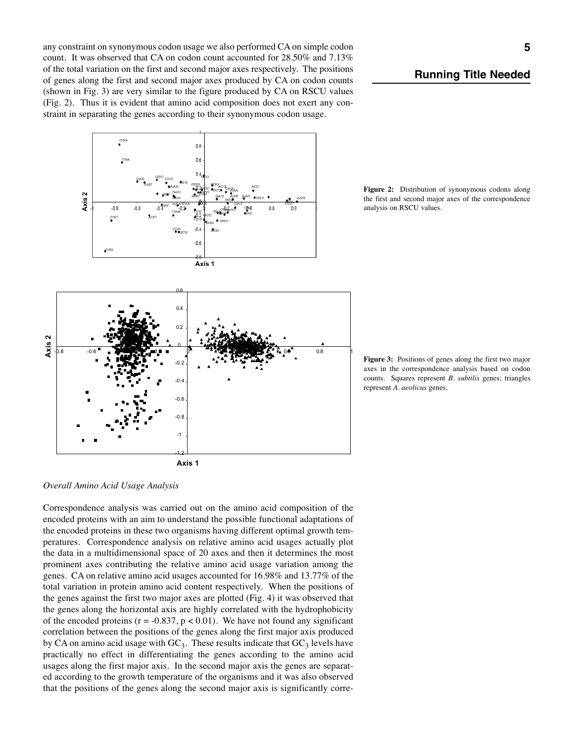any constraint on synonymous codon usage we also performed CA on simple codon count. It was observed that CA on codon count accounted for 28.50% and 7.13% of the total variation on the first and second major axes respectively. The positions of genes along the first and second major axes produced by CA on codon counts (shown in Fig. 3) are very similar to the figure produced by CA on RSCU values (Fig. 2). Thus it is evident that amino acid composition does not exert any constraint in separating the genes according to their synonymous codon usage.



*Running Title Needed*

**Figure 2:** Distribution of synonymous codons along the first and second major axes of the correspondence analysis on RSCU values.

**Figure 3:** Positions of genes along the first two major axes in the correspondence analysis based on codon counts. Squares represent *B. subtilis* genes; triangles represent *A. aeolicus* genes.

*Overall Amino Acid Usage Analysis*

Correspondence analysis was carried out on the amino acid composition of the encoded proteins with an aim to understand the possible functional adaptations of the encoded proteins in these two organisms having different optimal growth temperatures. Correspondence analysis on relative amino acid usages actually plot the data in a multidimensional space of 20 axes and then it determines the most prominent axes contributing the relative amino acid usage variation among the genes. CA on relative amino acid usages accounted for 16.98% and 13.77% of the total variation in protein amino acid content respectively. When the positions of the genes against the first two major axes are plotted (Fig. 4) it was observed that the genes along the horizontal axis are highly correlated with the hydrophobicity of the encoded proteins ( $r = -0.837$ ,  $p < 0.01$ ). We have not found any significant correlation between the positions of the genes along the first major axis produced by CA on amino acid usage with  $GC_3$ . These results indicate that  $GC_3$  levels have practically no effect in differentiating the genes according to the amino acid usages along the first major axis. In the second major axis the genes are separated according to the growth temperature of the organisms and it was also observed that the positions of the genes along the second major axis is significantly corre-

-1.2

**Axis 1**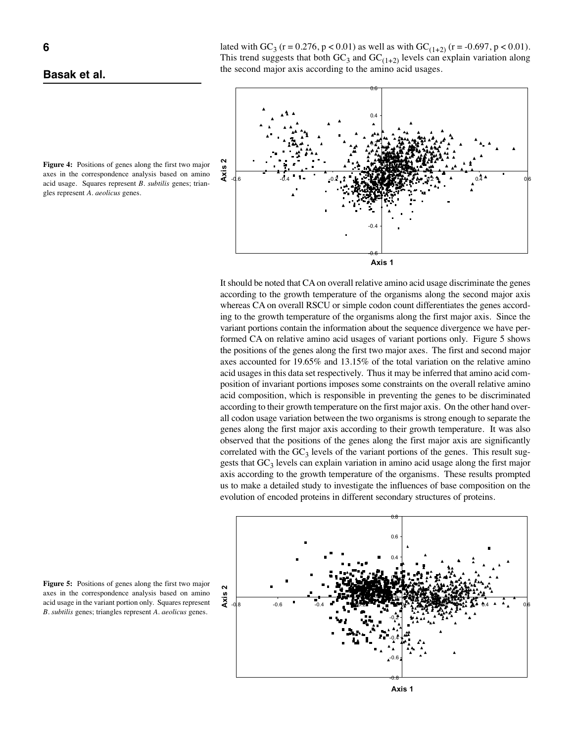

lated with GC<sub>3</sub> (r = 0.276, p < 0.01) as well as with GC<sub>(1+2)</sub> (r = -0.697, p < 0.01). This trend suggests that both  $GC_3$  and  $GC_{(1+2)}$  levels can explain variation along the second major axis according to the amino acid usages.



It should be noted that CA on overall relative amino acid usage discriminate the genes according to the growth temperature of the organisms along the second major axis whereas CA on overall RSCU or simple codon count differentiates the genes according to the growth temperature of the organisms along the first major axis. Since the variant portions contain the information about the sequence divergence we have performed CA on relative amino acid usages of variant portions only. Figure 5 shows the positions of the genes along the first two major axes. The first and second major axes accounted for 19.65% and 13.15% of the total variation on the relative amino acid usages in this data set respectively. Thus it may be inferred that amino acid composition of invariant portions imposes some constraints on the overall relative amino acid composition, which is responsible in preventing the genes to be discriminated according to their growth temperature on the first major axis. On the other hand overall codon usage variation between the two organisms is strong enough to separate the genes along the first major axis according to their growth temperature. It was also observed that the positions of the genes along the first major axis are significantly correlated with the  $GC_3$  levels of the variant portions of the genes. This result suggests that  $GC_3$  levels can explain variation in amino acid usage along the first major axis according to the growth temperature of the organisms. These results prompted us to make a detailed study to investigate the influences of base composition on the evolution of encoded proteins in different secondary structures of proteins.



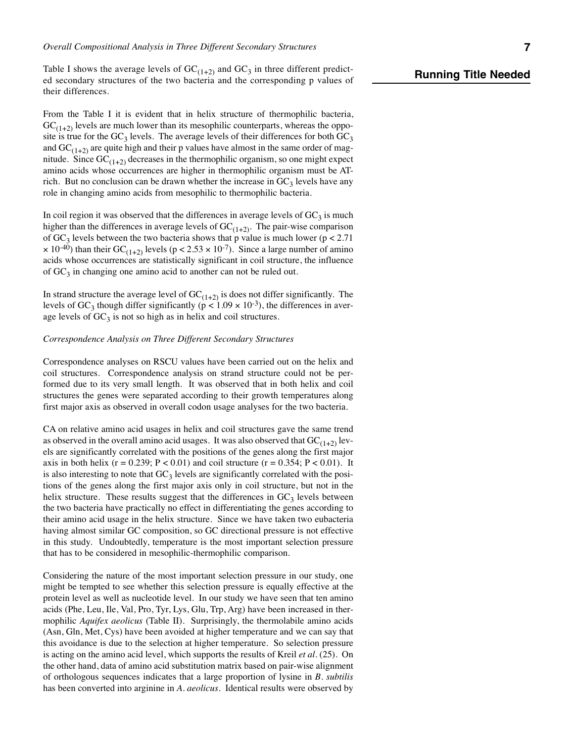Table I shows the average levels of  $GC_{(1+2)}$  and  $GC_3$  in three different predicted secondary structures of the two bacteria and the corresponding p values of their differences.

From the Table I it is evident that in helix structure of thermophilic bacteria,  $GC_{(1+2)}$  levels are much lower than its mesophilic counterparts, whereas the opposite is true for the  $GC_3$  levels. The average levels of their differences for both  $GC_3$ and  $GC_{(1+2)}$  are quite high and their p values have almost in the same order of magnitude. Since  $GC_{(1+2)}$  decreases in the thermophilic organism, so one might expect amino acids whose occurrences are higher in thermophilic organism must be ATrich. But no conclusion can be drawn whether the increase in  $GC<sub>3</sub>$  levels have any role in changing amino acids from mesophilic to thermophilic bacteria.

In coil region it was observed that the differences in average levels of  $GC_3$  is much higher than the differences in average levels of  $GC_{(1+2)}$ . The pair-wise comparison of  $GC_3$  levels between the two bacteria shows that p value is much lower (p < 2.71)  $\times$  10<sup>-40</sup>) than their GC<sub>(1+2)</sub> levels (p < 2.53  $\times$  10<sup>-7</sup>). Since a large number of amino acids whose occurrences are statistically significant in coil structure, the influence of  $GC<sub>3</sub>$  in changing one amino acid to another can not be ruled out.

In strand structure the average level of  $GC_{(1+2)}$  is does not differ significantly. The levels of GC<sub>3</sub> though differ significantly ( $p < 1.09 \times 10^{-3}$ ), the differences in average levels of  $GC_3$  is not so high as in helix and coil structures.

#### *Correspondence Analysis on Three Different Secondary Structures*

Correspondence analyses on RSCU values have been carried out on the helix and coil structures. Correspondence analysis on strand structure could not be performed due to its very small length. It was observed that in both helix and coil structures the genes were separated according to their growth temperatures along first major axis as observed in overall codon usage analyses for the two bacteria.

CA on relative amino acid usages in helix and coil structures gave the same trend as observed in the overall amino acid usages. It was also observed that  $GC_{(1+2)}$  levels are significantly correlated with the positions of the genes along the first major axis in both helix ( $r = 0.239$ ;  $P < 0.01$ ) and coil structure ( $r = 0.354$ ;  $P < 0.01$ ). It is also interesting to note that  $GC_3$  levels are significantly correlated with the positions of the genes along the first major axis only in coil structure, but not in the helix structure. These results suggest that the differences in  $GC<sub>3</sub>$  levels between the two bacteria have practically no effect in differentiating the genes according to their amino acid usage in the helix structure. Since we have taken two eubacteria having almost similar GC composition, so GC directional pressure is not effective in this study. Undoubtedly, temperature is the most important selection pressure that has to be considered in mesophilic-thermophilic comparison.

Considering the nature of the most important selection pressure in our study, one might be tempted to see whether this selection pressure is equally effective at the protein level as well as nucleotide level. In our study we have seen that ten amino acids (Phe, Leu, Ile, Val, Pro, Tyr, Lys, Glu, Trp, Arg) have been increased in thermophilic *Aquifex aeolicus* (Table II). Surprisingly, the thermolabile amino acids (Asn, Gln, Met, Cys) have been avoided at higher temperature and we can say that this avoidance is due to the selection at higher temperature. So selection pressure is acting on the amino acid level, which supports the results of Kreil *et al.* (25). On the other hand, data of amino acid substitution matrix based on pair-wise alignment of orthologous sequences indicates that a large proportion of lysine in *B. subtilis* has been converted into arginine in *A. aeolicus.* Identical results were observed by

# *Running Title Needed*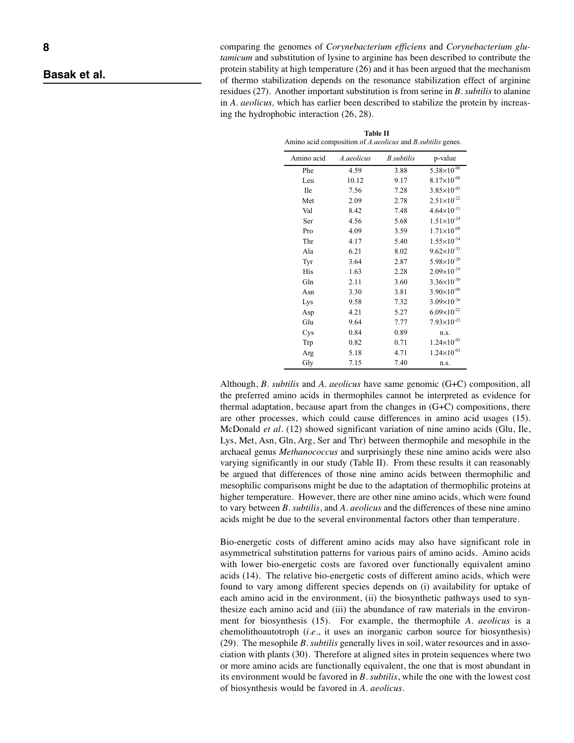comparing the genomes of *Corynebacterium efficiens* and *Corynebacterium glutamicum* and substitution of lysine to arginine has been described to contribute the protein stability at high temperature (26) and it has been argued that the mechanism of thermo stabilization depends on the resonance stabilization effect of arginine residues (27). Another important substitution is from serine in *B. subtilis* to alanine in *A. aeolicus,* which has earlier been described to stabilize the protein by increasing the hydrophobic interaction (26, 28).

**Table II** Amino acid composition of *A.aeolicus* and *B.subtilis* genes.

| A.aeolicus | <b>B.</b> subtilis | p-value                |
|------------|--------------------|------------------------|
| 4.59       | 3.88               | $5.38\times10^{-08}$   |
| 10.12      | 9.17               | $8.17\times10^{-08}$   |
| 7.56       | 7.28               | $3.85 \times 10^{-02}$ |
| 2.09       | 2.78               | $2.51\times10^{-22}$   |
| 8.42       | 7.48               | $4.64 \times 10^{-13}$ |
| 4.56       | 5.68               | $1.51\times10^{-24}$   |
| 4.09       | 3.59               | $1.71\times10^{-08}$   |
| 4.17       | 5.40               | $1.55 \times 10^{-34}$ |
| 6.21       | 8.02               | $9.62\times10^{-33}$   |
| 3.64       | 2.87               | $5.98\times10^{-20}$   |
| 1.63       | 2.28               | $2.09\times10^{-19}$   |
| 2.11       | 3.60               | $3.36\times10^{-50}$   |
| 3.30       | 3.81               | $3.90\times10^{-08}$   |
| 9.58       | 7.32               | $3.09\times10^{-36}$   |
| 4.21       | 5.27               | $6.09\times10^{-22}$   |
| 9.64       | 7.77               | $7.93\times10^{-23}$   |
| 0.84       | 0.89               | n.s.                   |
| 0.82       | 0.71               | $1.24 \times 10^{-02}$ |
| 5.18       | 4.71               | $1.24 \times 10^{-03}$ |
| 7.15       | 7.40               | n.s.                   |
|            |                    |                        |

Although, *B. subtilis* and *A. aeolicus* have same genomic (G+C) composition, all the preferred amino acids in thermophiles cannot be interpreted as evidence for thermal adaptation, because apart from the changes in (G+C) compositions, there are other processes, which could cause differences in amino acid usages (15). McDonald *et al.* (12) showed significant variation of nine amino acids (Glu, Ile, Lys, Met, Asn, Gln, Arg, Ser and Thr) between thermophile and mesophile in the archaeal genus *Methanococcus* and surprisingly these nine amino acids were also varying significantly in our study (Table II). From these results it can reasonably be argued that differences of those nine amino acids between thermophilic and mesophilic comparisons might be due to the adaptation of thermophilic proteins at higher temperature. However, there are other nine amino acids, which were found to vary between *B. subtilis*, and *A. aeolicus* and the differences of these nine amino acids might be due to the several environmental factors other than temperature.

Bio-energetic costs of different amino acids may also have significant role in asymmetrical substitution patterns for various pairs of amino acids. Amino acids with lower bio-energetic costs are favored over functionally equivalent amino acids (14). The relative bio-energetic costs of different amino acids, which were found to vary among different species depends on (i) availability for uptake of each amino acid in the environment, (ii) the biosynthetic pathways used to synthesize each amino acid and (iii) the abundance of raw materials in the environment for biosynthesis (15). For example, the thermophile *A. aeolicus* is a chemolithoautotroph (*i.e.*, it uses an inorganic carbon source for biosynthesis) (29). The mesophile *B. subtilis* generally lives in soil, water resources and in association with plants (30). Therefore at aligned sites in protein sequences where two or more amino acids are functionally equivalent, the one that is most abundant in its environment would be favored in *B. subtilis*, while the one with the lowest cost of biosynthesis would be favored in *A. aeolicus*.

*Basak et al.*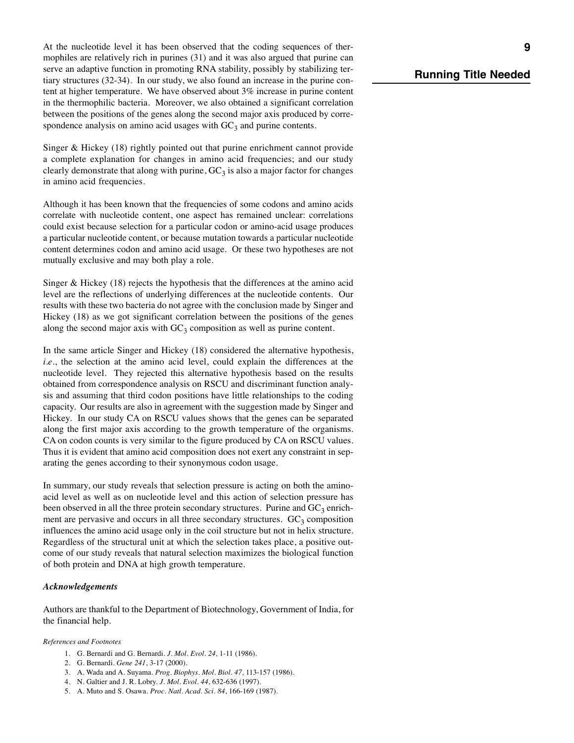At the nucleotide level it has been observed that the coding sequences of thermophiles are relatively rich in purines (31) and it was also argued that purine can serve an adaptive function in promoting RNA stability, possibly by stabilizing tertiary structures (32-34). In our study, we also found an increase in the purine content at higher temperature. We have observed about 3% increase in purine content in the thermophilic bacteria. Moreover, we also obtained a significant correlation between the positions of the genes along the second major axis produced by correspondence analysis on amino acid usages with  $GC_3$  and purine contents.

Singer & Hickey (18) rightly pointed out that purine enrichment cannot provide a complete explanation for changes in amino acid frequencies; and our study clearly demonstrate that along with purine,  $GC_3$  is also a major factor for changes in amino acid frequencies.

Although it has been known that the frequencies of some codons and amino acids correlate with nucleotide content, one aspect has remained unclear: correlations could exist because selection for a particular codon or amino-acid usage produces a particular nucleotide content, or because mutation towards a particular nucleotide content determines codon and amino acid usage. Or these two hypotheses are not mutually exclusive and may both play a role.

Singer & Hickey (18) rejects the hypothesis that the differences at the amino acid level are the reflections of underlying differences at the nucleotide contents. Our results with these two bacteria do not agree with the conclusion made by Singer and Hickey (18) as we got significant correlation between the positions of the genes along the second major axis with  $GC_3$  composition as well as purine content.

In the same article Singer and Hickey (18) considered the alternative hypothesis, *i.e.*, the selection at the amino acid level, could explain the differences at the nucleotide level. They rejected this alternative hypothesis based on the results obtained from correspondence analysis on RSCU and discriminant function analysis and assuming that third codon positions have little relationships to the coding capacity. Our results are also in agreement with the suggestion made by Singer and Hickey. In our study CA on RSCU values shows that the genes can be separated along the first major axis according to the growth temperature of the organisms. CA on codon counts is very similar to the figure produced by CA on RSCU values. Thus it is evident that amino acid composition does not exert any constraint in separating the genes according to their synonymous codon usage.

In summary, our study reveals that selection pressure is acting on both the aminoacid level as well as on nucleotide level and this action of selection pressure has been observed in all the three protein secondary structures. Purine and  $GC_3$  enrichment are pervasive and occurs in all three secondary structures.  $GC_3$  composition influences the amino acid usage only in the coil structure but not in helix structure. Regardless of the structural unit at which the selection takes place, a positive outcome of our study reveals that natural selection maximizes the biological function of both protein and DNA at high growth temperature.

### *Acknowledgements*

Authors are thankful to the Department of Biotechnology, Government of India, for the financial help.

*References and Footnotes*

- 1. G. Bernardi and G. Bernardi. *J. Mol. Evol. 24*, 1-11 (1986).
- 2. G. Bernardi. *Gene 241*, 3-17 (2000).
- 3. A. Wada and A. Suyama. *Prog. Biophys. Mol. Biol. 47*, 113-157 (1986).
- 4. N. Galtier and J. R. Lobry. *J. Mol. Evol. 44*, 632-636 (1997).
- 5. A. Muto and S. Osawa. *Proc. Natl. Acad. Sci. 84*, 166-169 (1987).

# *Running Title Needed*